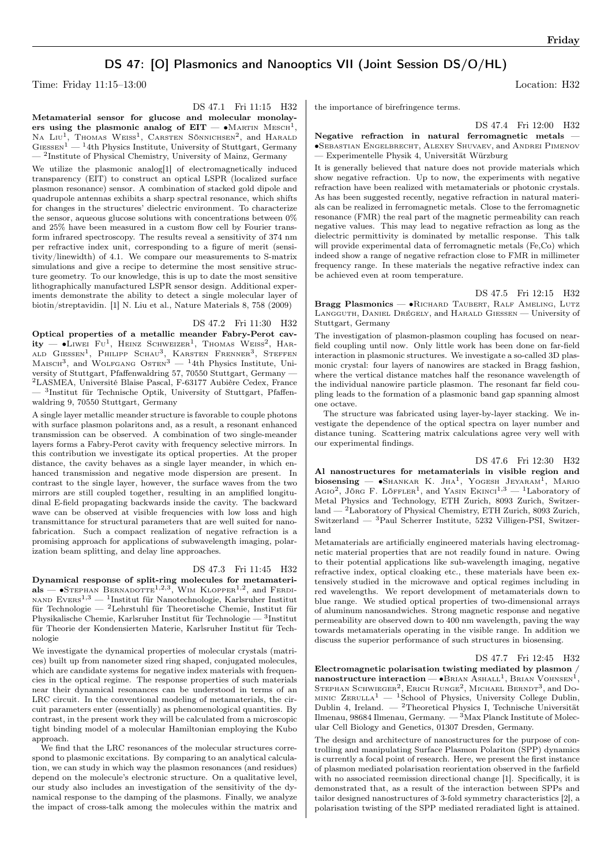# DS 47: [O] Plasmonics and Nanooptics VII (Joint Session DS/O/HL)

Time: Friday 11:15–13:00 Location: H32

DS 47.1 Fri 11:15 H32

Metamaterial sensor for glucose and molecular monolayers using the plasmonic analog of  $\mathrm{EIT} - \bullet \mathrm{MARTIN\,\, MESCH}^1,$ NA LIU<sup>1</sup>, Thomas Weiss<sup>1</sup>, Carsten Sönnichsen<sup>2</sup>, and Harald  $Giessen<sup>1</sup>$  — <sup>1</sup>4th Physics Institute, University of Stuttgart, Germany — <sup>2</sup> Institute of Physical Chemistry, University of Mainz, Germany

We utilize the plasmonic analog[1] of electromagnetically induced transparency (EIT) to construct an optical LSPR (localized surface plasmon resonance) sensor. A combination of stacked gold dipole and quadrupole antennas exhibits a sharp spectral resonance, which shifts for changes in the structures' dielectric environment. To characterize the sensor, aqueous glucose solutions with concentrations between  $0\%$ and 25% have been measured in a custom flow cell by Fourier transform infrared spectroscopy. The results reveal a sensitivity of 374 nm per refractive index unit, corresponding to a figure of merit (sensitivity/linewidth) of 4.1. We compare our measurements to S-matrix simulations and give a recipe to determine the most sensitive structure geometry. To our knowledge, this is up to date the most sensitive lithographically manufactured LSPR sensor design. Additional experiments demonstrate the ability to detect a single molecular layer of biotin/streptavidin. [1] N. Liu et al., Nature Materials 8, 758 (2009)

## DS 47.2 Fri 11:30 H32

Optical properties of a metallic meander Fabry-Perot cav- $\rm{ity\, -$  •Liwei  $\rm{Fu^1,~He}$ inz Schweizer<sup>1</sup>, Thomas Weiss<sup>2</sup>, Harald Giessen<sup>1</sup>, Philipp Schau<sup>3</sup>, Karsten Frenner<sup>3</sup>, Steffen<br>Maisch<sup>3</sup>, and Wolfgang Osten<sup>3</sup> — <sup>1</sup>4th Physics Institute, University of Stuttgart, Pfaffenwaldring 57, 70550 Stuttgart, Germany — <sup>2</sup>LASMEA, Université Blaise Pascal, F-63177 Aubière Cedex, France — <sup>3</sup> Institut für Technische Optik, University of Stuttgart, Pfaffenwaldring 9, 70550 Stuttgart, Germany

A single layer metallic meander structure is favorable to couple photons with surface plasmon polaritons and, as a result, a resonant enhanced transmission can be observed. A combination of two single-meander layers forms a Fabry-Perot cavity with frequency selective mirrors. In this contribution we investigate its optical properties. At the proper distance, the cavity behaves as a single layer meander, in which enhanced transmission and negative mode dispersion are present. In contrast to the single layer, however, the surface waves from the two mirrors are still coupled together, resulting in an amplified longitudinal E-field propagating backwards inside the cavity. The backward wave can be observed at visible frequencies with low loss and high transmittance for structural parameters that are well suited for nanofabrication. Such a compact realization of negative refraction is a promising approach for applications of subwavelength imaging, polarization beam splitting, and delay line approaches.

## DS 47.3 Fri 11:45 H32

Dynamical response of split-ring molecules for metamateri $als$  — •Stephan Bernadotte<sup>1,2,3</sup>, Wim Klopper<sup>1,2</sup>, and Ferdi- $\textsc{NAND}$  Evers $^{1,3}$  — <sup>1</sup>Institut für Nanotechnologie, Karlsruher Institut für Technologie — <sup>2</sup>Lehrstuhl für Theoretische Chemie, Institut für Physikalische Chemie, Karlsruher Institut für Technologie —  $3$ Institut für Theorie der Kondensierten Materie, Karlsruher Institut für Technologie

We investigate the dynamical properties of molecular crystals (matrices) built up from nanometer sized ring shaped, conjugated molecules, which are candidate systems for negative index materials with frequencies in the optical regime. The response properties of such materials near their dynamical resonances can be understood in terms of an LRC circuit. In the conventional modeling of metamaterials, the circuit parameters enter (essentially) as phenomenological quantities. By contrast, in the present work they will be calculated from a microscopic tight binding model of a molecular Hamiltonian employing the Kubo approach.

We find that the LRC resonances of the molecular structures correspond to plasmonic excitations. By comparing to an analytical calculation, we can study in which way the plasmon resonances (and residues) depend on the molecule's electronic structure. On a qualitative level, our study also includes an investigation of the sensitivity of the dynamical response to the damping of the plasmons. Finally, we analyze the impact of cross-talk among the molecules within the matrix and the importance of birefringence terms.

DS 47.4 Fri 12:00 H32

### Negative refraction in natural ferromagnetic metals — ∙Sebastian Engelbrecht, Alexey Shuvaev, and Andrei Pimenov — Experimentelle Physik 4, Universität Würzburg

It is generally believed that nature does not provide materials which show negative refraction. Up to now, the experiments with negative refraction have been realized with metamaterials or photonic crystals. As has been suggested recently, negative refraction in natural materials can be realized in ferromagnetic metals. Close to the ferromagnetic resonance (FMR) the real part of the magnetic permeability can reach negative values. This may lead to negative refraction as long as the dielectric permittivity is dominated by metallic response. This talk will provide experimental data of ferromagnetic metals (Fe,Co) which indeed show a range of negative refraction close to FMR in millimeter frequency range. In these materials the negative refractive index can be achieved even at room temperature.

DS 47.5 Fri 12:15 H32

Bragg Plasmonics — •RICHARD TAUBERT, RALF AMELING, LUTZ Langguth, Daniel Drégely, and Harald Giessen — University of Stuttgart, Germany

The investigation of plasmon-plasmon coupling has focused on nearfield coupling until now. Only little work has been done on far-field interaction in plasmonic structures. We investigate a so-called 3D plasmonic crystal: four layers of nanowires are stacked in Bragg fashion, where the vertical distance matches half the resonance wavelength of the individual nanowire particle plasmon. The resonant far field coupling leads to the formation of a plasmonic band gap spanning almost one octave.

The structure was fabricated using layer-by-layer stacking. We investigate the dependence of the optical spectra on layer number and distance tuning. Scattering matrix calculations agree very well with our experimental findings.

DS 47.6 Fri 12:30 H32

Al nanostructures for metamaterials in visible region and biosensing — •Shankar K. J $HA<sup>1</sup>$ , Yogesh Jeyaram<sup>1</sup>, Mario AGIO<sup>2</sup>, JÖRG F. LÖFFLER<sup>1</sup>, and YASIN EKINCI<sup>1,3</sup> - <sup>1</sup>Laboratory of Metal Physics and Technology, ETH Zurich, 8093 Zurich, Switzerland — <sup>2</sup>Laboratory of Physical Chemistry, ETH Zurich, 8093 Zurich, Switzerland — <sup>3</sup>Paul Scherrer Institute, 5232 Villigen-PSI, Switzerland

Metamaterials are artificially engineered materials having electromagnetic material properties that are not readily found in nature. Owing to their potential applications like sub-wavelength imaging, negative refractive index, optical cloaking etc., these materials have been extensively studied in the microwave and optical regimes including in red wavelengths. We report development of metamaterials down to blue range. We studied optical properties of two-dimensional arrays of aluminum nanosandwiches. Strong magnetic response and negative permeability are observed down to 400 nm wavelength, paving the way towards metamaterials operating in the visible range. In addition we discuss the superior performance of such structures in biosensing.

### DS 47.7 Fri 12:45 H32

Electromagnetic polarisation twisting mediated by plasmon / nanostructure interaction —  $\bullet$ Brian Ashall<sup>1</sup>, Brian Vohnsen<sup>1</sup>, STEPHAN SCHWIEGER<sup>2</sup>, ERICH RUNGE<sup>2</sup>, MICHAEL BERNDT<sup>3</sup>, and Do-MINIC  $\text{Zer}$ ULLA<sup>1</sup> — <sup>1</sup>School of Physics, University College Dublin, Dublin 4, Ireland. — <sup>2</sup>Theoretical Physics I, Technische Universität Ilmenau, 98684 Ilmenau, Germany. — <sup>3</sup>Max Planck Institute of Molecular Cell Biology and Genetics, 01307 Dresden, Germany.

The design and architecture of nanostructures for the purpose of controlling and manipulating Surface Plasmon Polariton (SPP) dynamics is currently a focal point of research. Here, we present the first instance of plasmon mediated polarisation reorientation observed in the farfield with no associated reemission directional change [1]. Specifically, it is demonstrated that, as a result of the interaction between SPPs and tailor designed nanostructures of 3-fold symmetry characteristics [2], a polarisation twisting of the SPP mediated reradiated light is attained.